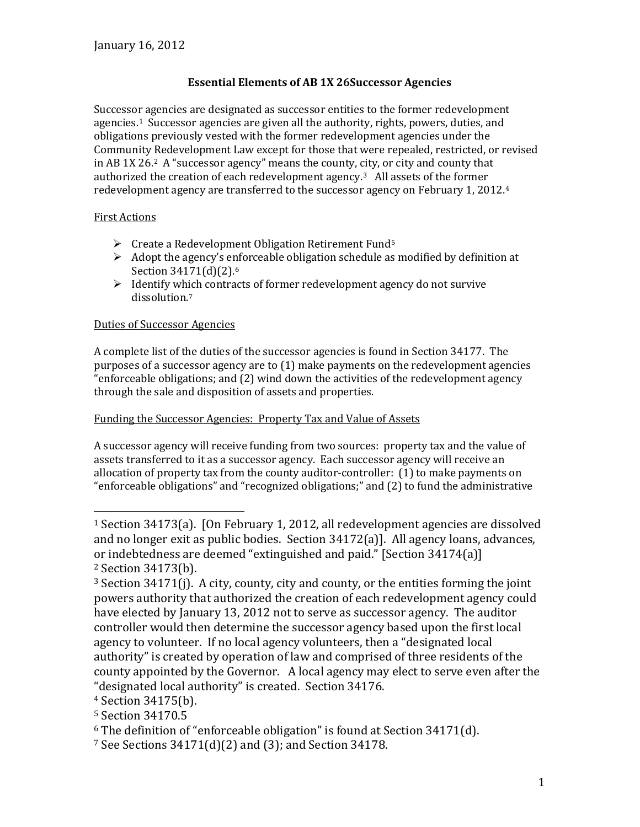# **Essential Elements of AB 1X 26Successor Agencies**

Successor agencies are designated as successor entities to the former redevelopment agencies.1 Successor agencies are given all the authority, rights, powers, duties, and obligations previously vested with the former redevelopment agencies under the Community Redevelopment Law except for those that were repealed, restricted, or revised in AB 1X 26.2 A "successor agency" means the county, city, or city and county that authorized the creation of each redevelopment agency.3 All assets of the former redevelopment agency are transferred to the successor agency on February 1, 2012.4

### First Actions

- $\triangleright$  Create a Redevelopment Obligation Retirement Fund<sup>5</sup>
- $\triangleright$  Adopt the agency's enforceable obligation schedule as modified by definition at Section 34171(d)(2).<sup>6</sup>
- $\triangleright$  Identify which contracts of former redevelopment agency do not survive dissolution.7

# Duties of Successor Agencies

A complete list of the duties of the successor agencies is found in Section 34177. The purposes of a successor agency are to (1) make payments on the redevelopment agencies "enforceable obligations; and (2) wind down the activities of the redevelopment agency through the sale and disposition of assets and properties.

### Funding the Successor Agencies: Property Tax and Value of Assets

A successor agency will receive funding from two sources: property tax and the value of assets transferred to it as a successor agency. Each successor agency will receive an allocation of property tax from the county auditor-controller: (1) to make payments on "enforceable obligations" and "recognized obligations;" and (2) to fund the administrative

i<br>I <sup>1</sup> Section 34173(a). [On February 1, 2012, all redevelopment agencies are dissolved and no longer exit as public bodies. Section 34172(a)]. All agency loans, advances, or indebtedness are deemed "extinguished and paid." [Section 34174(a)] <sup>2</sup> Section 34173(b).

 $3$  Section 34171(j). A city, county, city and county, or the entities forming the joint powers authority that authorized the creation of each redevelopment agency could have elected by January 13, 2012 not to serve as successor agency. The auditor controller would then determine the successor agency based upon the first local agency to volunteer. If no local agency volunteers, then a "designated local authority" is created by operation of law and comprised of three residents of the county appointed by the Governor. A local agency may elect to serve even after the "designated local authority" is created. Section 34176.

<sup>4</sup> Section 34175(b).

<sup>5</sup> Section 34170.5

 $6$  The definition of "enforceable obligation" is found at Section 34171(d).

<sup>7</sup> See Sections 34171(d)(2) and (3); and Section 34178.